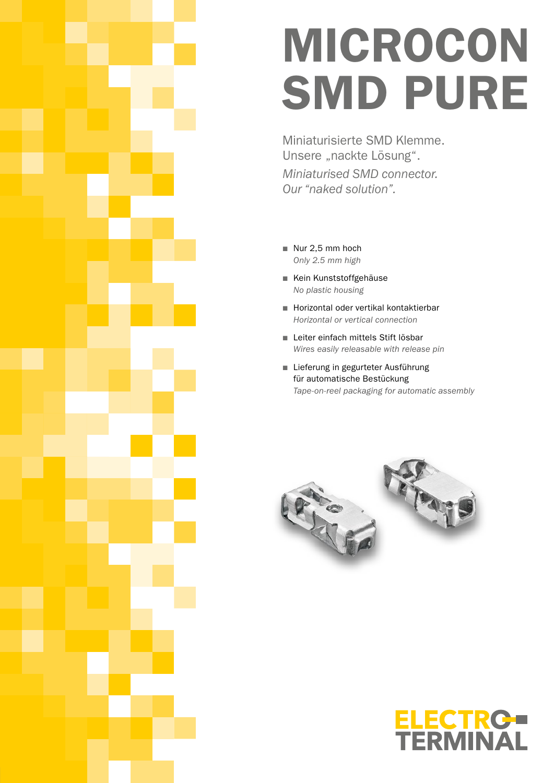# MICROCON SMD PURE

Miniaturisierte SMD Klemme. Unsere "nackte Lösung". *Miniaturised SMD connector. Our "naked solution".*

- Nur 2,5 mm hoch *Only 2.5 mm high*
- Kein Kunststoffgehäuse *No plastic housing*
- Horizontal oder vertikal kontaktierbar *Horizontal or vertical connection*
- Leiter einfach mittels Stift lösbar *Wires easily releasable with release pin*
- Lieferung in gegurteter Ausführung für automatische Bestückung *Tape-on-reel packaging for automatic assembly*



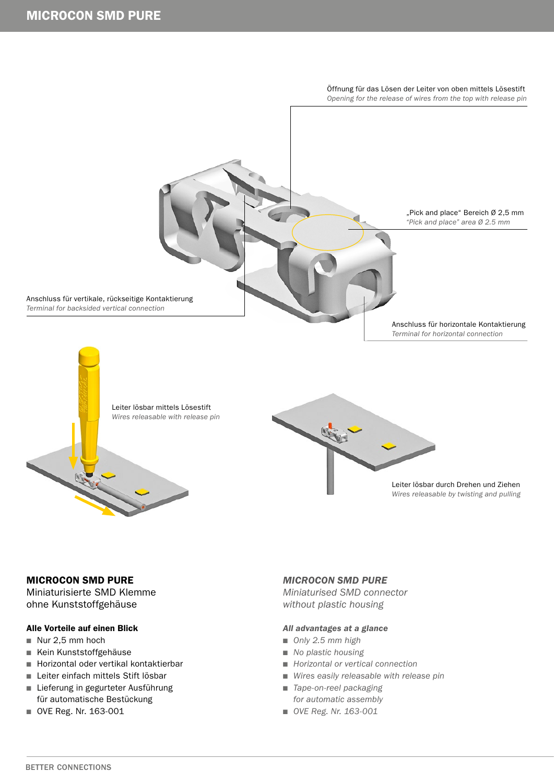

# MICROCON SMD PURE

Miniaturisierte SMD Klemme ohne Kunststoffgehäuse

# Alle Vorteile auf einen Blick

- Nur 2,5 mm hoch
- Kein Kunststoffgehäuse
- Horizontal oder vertikal kontaktierbar
- Leiter einfach mittels Stift lösbar
- Lieferung in gegurteter Ausführung für automatische Bestückung
- OVE Reg. Nr. 163-001

# *MICROCON SMD PURE*

*Miniaturised SMD connector without plastic housing*

# *All advantages at a glance*

- *Only 2.5 mm high*
- No plastic housing
- *Horizontal or vertical connection*
- *Wires easily releasable with release pin*
- *Tape-on-reel packaging for automatic assembly*
- *OVE Reg. Nr. 163-001*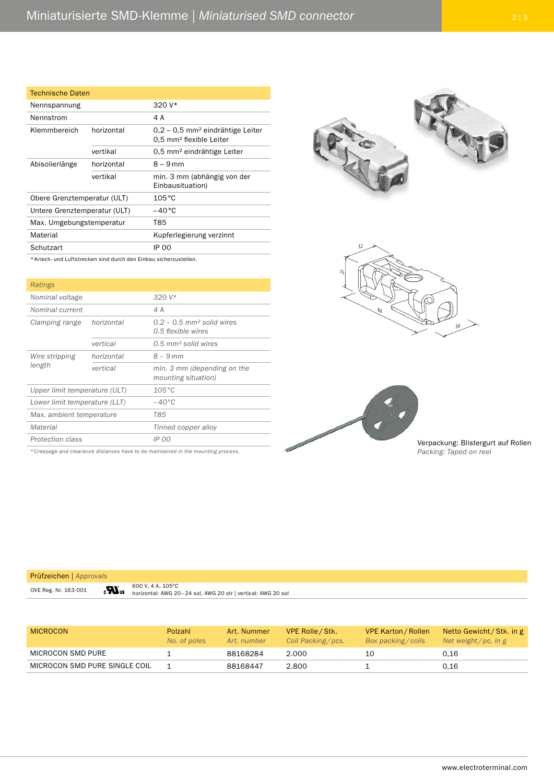| <b>Technische Daten</b>      |                                                                   |                                                                                       |  |
|------------------------------|-------------------------------------------------------------------|---------------------------------------------------------------------------------------|--|
| Nennspannung                 |                                                                   | $320V*$                                                                               |  |
| Nennstrom                    |                                                                   | 4 A                                                                                   |  |
| Klemmbereich                 | horizontal                                                        | $0.2 - 0.5$ mm <sup>2</sup> eindrähtige Leiter<br>0.5 mm <sup>2</sup> flexible Leiter |  |
|                              | vertikal                                                          | 0,5 mm <sup>2</sup> eindrähtige Leiter                                                |  |
| Abisolierlänge               | horizontal                                                        | $8 - 9$ mm                                                                            |  |
|                              | vertikal                                                          | min. 3 mm (abhängig von der<br>Einbausituation)                                       |  |
| Obere Grenztemperatur (ULT)  |                                                                   | $105^{\circ}$ C                                                                       |  |
| Untere Grenztemperatur (ULT) |                                                                   | $-40^{\circ}$ C                                                                       |  |
| Max. Umgebungstemperatur     |                                                                   | T85                                                                                   |  |
| Material                     |                                                                   | Kupferlegierung verzinnt                                                              |  |
| Schutzart                    |                                                                   | <b>IP 00</b>                                                                          |  |
|                              | * Kriech- und Luftstrecken sind durch den Einbau sicherzustellen. |                                                                                       |  |

\*Kriech- und Luftstrecken sind durch den Einbau sicherzustellen.

| Ratings                       |            |                                                                 |
|-------------------------------|------------|-----------------------------------------------------------------|
| Nominal voltage               |            | $320V*$                                                         |
| Nominal current               |            | 4 A                                                             |
| Clamping range                | horizontal | $0.2 - 0.5$ mm <sup>2</sup> solid wires<br>$0.5$ flexible wires |
|                               | vertical   | $0.5$ mm <sup>2</sup> solid wires                               |
| Wire stripping<br>length      | horizontal | $8 - 9$ mm                                                      |
|                               | vertical   | min. 3 mm (depending on the<br>mounting situation)              |
| Upper limit temperature (ULT) |            | $105^{\circ}$ C                                                 |
| Lower limit temperature (LLT) |            | $-40^{\circ}$ C                                                 |
| Max. ambient temperature      |            | T85                                                             |
| Material                      |            | Tinned copper alloy                                             |
| Protection class              |            | IP 00                                                           |

*\* Creepage and clearance distances have to be maintained in the mounting process.*

 $\boldsymbol{u}$ 







Verpackung: Blistergurt auf Rollen *Packing: Taped on reel*

### Prüfzeichen | *Approvals*

OVE Reg. Nr. 163-001

600 V, 4 A, 105°C horizontal: AWG 20–24 sol, AWG 20 str | vertical: AWG 20 sol

| <b>MICROCON</b>               | <b>Polzahl</b><br>No. of poles | Art. Nummer<br>Art. number | VPE Rolle / Stk.<br>Coil Packing/pcs. | <b>VPE Karton / Rollen</b><br>Box packing/coils | Netto Gewicht / Stk. in g<br>Net weight/pc. in g |
|-------------------------------|--------------------------------|----------------------------|---------------------------------------|-------------------------------------------------|--------------------------------------------------|
| MICROCON SMD PURE             |                                | 88168284                   | 2.000                                 | 10                                              | 0.16                                             |
| MICROCON SMD PURE SINGLE COIL |                                | 88168447                   | 2.800                                 |                                                 | 0.16                                             |